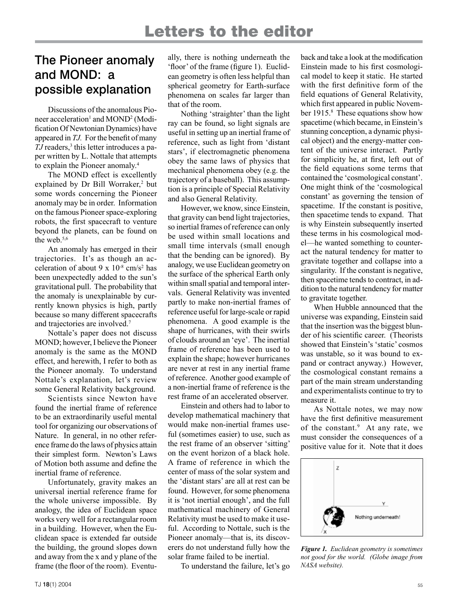## The Pioneer anomaly and MOND: a possible explanation

Discussions of the anomalous Pioneer acceleration<sup>1</sup> and MOND<sup>2</sup> (Modification Of Newtonian Dynamics) have appeared in *TJ.* For the benefit of many *TJ* readers,<sup>3</sup> this letter introduces a paper written by L. Nottale that attempts to explain the Pioneer anomaly.<sup>4</sup>

The MOND effect is excellently explained by Dr Bill Worraker,<sup>2</sup> but some words concerning the Pioneer anomaly may be in order. Information on the famous Pioneer space-exploring robots, the first spacecraft to venture beyond the planets, can be found on the web.5,6

An anomaly has emerged in their trajectories. It's as though an acceleration of about 9 x  $10^{-8}$  cm/s<sup>2</sup> has been unexpectedly added to the sun's gravitational pull. The probability that the anomaly is unexplainable by currently known physics is high, partly because so many different spacecrafts and trajectories are involved.<sup>7</sup>

Nottale's paper does not discuss MOND; however, I believe the Pioneer anomaly is the same as the MOND effect, and herewith, I refer to both as the Pioneer anomaly. To understand Nottale's explanation, let's review some General Relativity background.

Scientists since Newton have found the inertial frame of reference to be an extraordinarily useful mental tool for organizing our observations of Nature. In general, in no other reference frame do the laws of physics attain their simplest form. Newton's Laws of Motion both assume and define the inertial frame of reference.

Unfortunately, gravity makes an universal inertial reference frame for the whole universe impossible. By analogy, the idea of Euclidean space works very well for a rectangular room in a building. However, when the Euclidean space is extended far outside the building, the ground slopes down and away from the x and y plane of the frame (the floor of the room). Eventually, there is nothing underneath the 'floor' of the frame (figure 1). Euclidean geometry is often less helpful than spherical geometry for Earth-surface phenomena on scales far larger than that of the room.

Nothing 'straighter' than the light ray can be found, so light signals are useful in setting up an inertial frame of reference, such as light from 'distant stars', if electromagnetic phenomena obey the same laws of physics that mechanical phenomena obey (e.g. the trajectory of a baseball). This assumption is a principle of Special Relativity and also General Relativity.

However, we know, since Einstein, that gravity can bend light trajectories, so inertial frames of reference can only be used within small locations and small time intervals (small enough that the bending can be ignored). By analogy, we use Euclidean geometry on the surface of the spherical Earth only within small spatial and temporal intervals. General Relativity was invented partly to make non-inertial frames of reference useful for large-scale or rapid phenomena. A good example is the shape of hurricanes, with their swirls of clouds around an 'eye'. The inertial frame of reference has been used to explain the shape; however hurricanes are never at rest in any inertial frame of reference. Another good example of a non-inertial frame of reference is the rest frame of an accelerated observer.

Einstein and others had to labor to develop mathematical machinery that would make non-inertial frames useful (sometimes easier) to use, such as the rest frame of an observer 'sitting' on the event horizon of a black hole. A frame of reference in which the center of mass of the solar system and the 'distant stars' are all at rest can be found. However, for some phenomena it is 'not inertial enough', and the full mathematical machinery of General Relativity must be used to make it useful. According to Nottale, such is the Pioneer anomaly—that is, its discoverers do not understand fully how the solar frame failed to be inertial.

To understand the failure, let's go

back and take a look at the modification Einstein made to his first cosmological model to keep it static. He started with the first definitive form of the field equations of General Relativity, which first appeared in public November 1915.<sup>8</sup> These equations show how spacetime (which became, in Einstein's stunning conception, a dynamic physical object) and the energy-matter content of the universe interact. Partly for simplicity he, at first, left out of the field equations some terms that contained the 'cosmological constant'. One might think of the 'cosmological constant' as governing the tension of spacetime. If the constant is positive, then spacetime tends to expand. That is why Einstein subsequently inserted these terms in his cosmological model—he wanted something to counteract the natural tendency for matter to gravitate together and collapse into a singularity. If the constant is negative, then spacetime tends to contract, in addition to the natural tendency for matter to gravitate together.

When Hubble announced that the universe was expanding, Einstein said that the insertion was the biggest blunder of his scientific career. (Theorists showed that Einstein's 'static' cosmos was unstable, so it was bound to expand or contract anyway.) However, the cosmological constant remains a part of the main stream understanding and experimentalists continue to try to measure it.

As Nottale notes, we may now have the first definitive measurement of the constant.<sup>9</sup> At any rate, we must consider the consequences of a positive value for it. Note that it does



*Figure 1. Euclidean geometry is sometimes not good for the world. (Globe image from NASA website).*